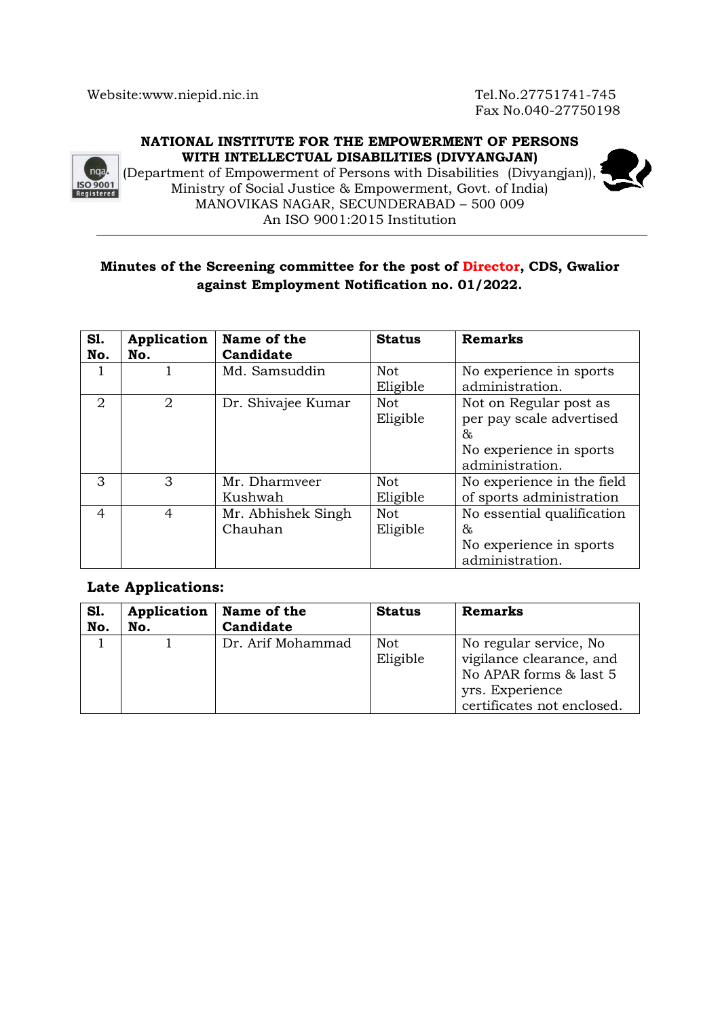Fax No.040-27750198

### **NATIONAL INSTITUTE FOR THE EMPOWERMENT OF PERSONS WITH INTELLECTUAL DISABILITIES (DIVYANGJAN)**



(Department of Empowerment of Persons with Disabilities (Divyangjan)), Ministry of Social Justice & Empowerment, Govt. of India) MANOVIKAS NAGAR, SECUNDERABAD – 500 009 An ISO 9001:2015 Institution

# **Minutes of the Screening committee for the post of Director, CDS, Gwalior against Employment Notification no. 01/2022.**

| <b>S1.</b><br>No. | Application<br>No. | Name of the<br>Candidate      | <b>Status</b>          | <b>Remarks</b>                                                                                        |
|-------------------|--------------------|-------------------------------|------------------------|-------------------------------------------------------------------------------------------------------|
|                   |                    | Md. Samsuddin                 | <b>Not</b><br>Eligible | No experience in sports<br>administration.                                                            |
| 2                 | $\overline{2}$     | Dr. Shivajee Kumar            | <b>Not</b><br>Eligible | Not on Regular post as<br>per pay scale advertised<br>&<br>No experience in sports<br>administration. |
| 3                 | 3                  | Mr. Dharmveer<br>Kushwah      | <b>Not</b><br>Eligible | No experience in the field<br>of sports administration                                                |
| 4                 | 4                  | Mr. Abhishek Singh<br>Chauhan | <b>Not</b><br>Eligible | No essential qualification<br>&<br>No experience in sports<br>administration.                         |

## **Late Applications:**

| <b>S1.</b> | Application | Name of the       | <b>Status</b> | <b>Remarks</b>             |
|------------|-------------|-------------------|---------------|----------------------------|
| No.        | No.         | Candidate         |               |                            |
|            |             | Dr. Arif Mohammad | Not.          | No regular service, No     |
|            |             |                   | Eligible      | vigilance clearance, and   |
|            |             |                   |               | No APAR forms & last 5     |
|            |             |                   |               | yrs. Experience            |
|            |             |                   |               | certificates not enclosed. |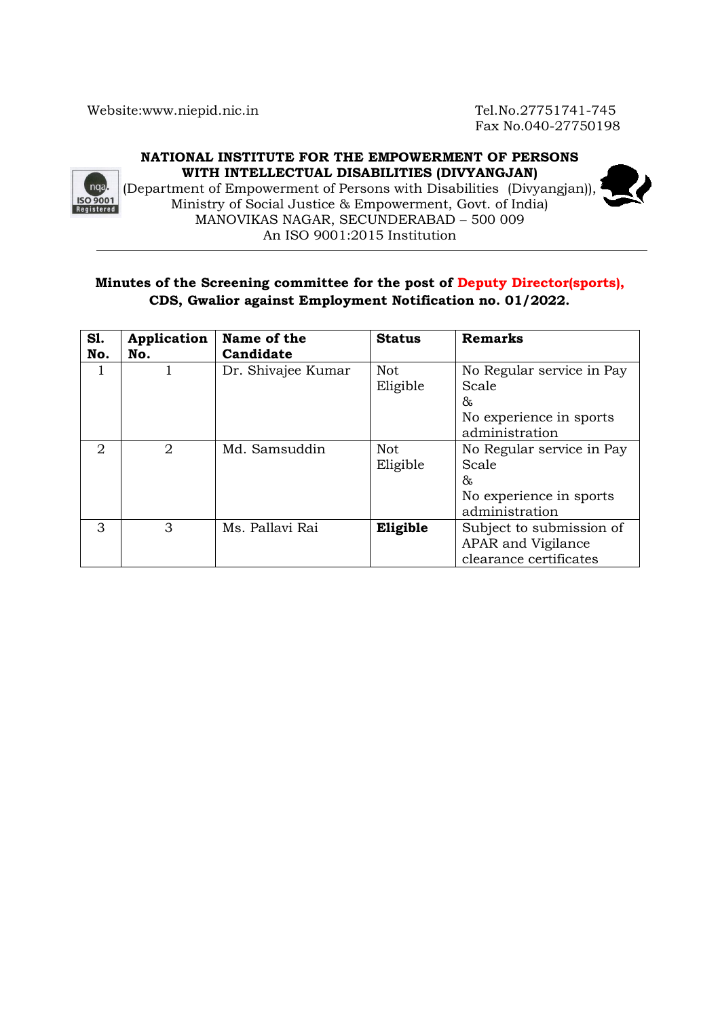Fax No.040-27750198

## **NATIONAL INSTITUTE FOR THE EMPOWERMENT OF PERSONS WITH INTELLECTUAL DISABILITIES (DIVYANGJAN)**



(Department of Empowerment of Persons with Disabilities (Divyangjan)), Ministry of Social Justice & Empowerment, Govt. of India) MANOVIKAS NAGAR, SECUNDERABAD – 500 009 An ISO 9001:2015 Institution



## **Minutes of the Screening committee for the post of Deputy Director(sports), CDS, Gwalior against Employment Notification no. 01/2022.**

| S1.<br>No. | Application<br>No.          | Name of the<br>Candidate | <b>Status</b> | <b>Remarks</b>            |
|------------|-----------------------------|--------------------------|---------------|---------------------------|
|            |                             | Dr. Shivajee Kumar       | <b>Not</b>    | No Regular service in Pay |
|            |                             |                          | Eligible      | Scale                     |
|            |                             |                          |               | &                         |
|            |                             |                          |               | No experience in sports   |
|            |                             |                          |               | administration            |
| 2          | $\mathcal{D}_{\mathcal{L}}$ | Md. Samsuddin            | <b>Not</b>    | No Regular service in Pay |
|            |                             |                          | Eligible      | Scale                     |
|            |                             |                          |               | &                         |
|            |                             |                          |               | No experience in sports   |
|            |                             |                          |               | administration            |
| 3          | 3                           | Ms. Pallavi Rai          | Eligible      | Subject to submission of  |
|            |                             |                          |               | APAR and Vigilance        |
|            |                             |                          |               | clearance certificates    |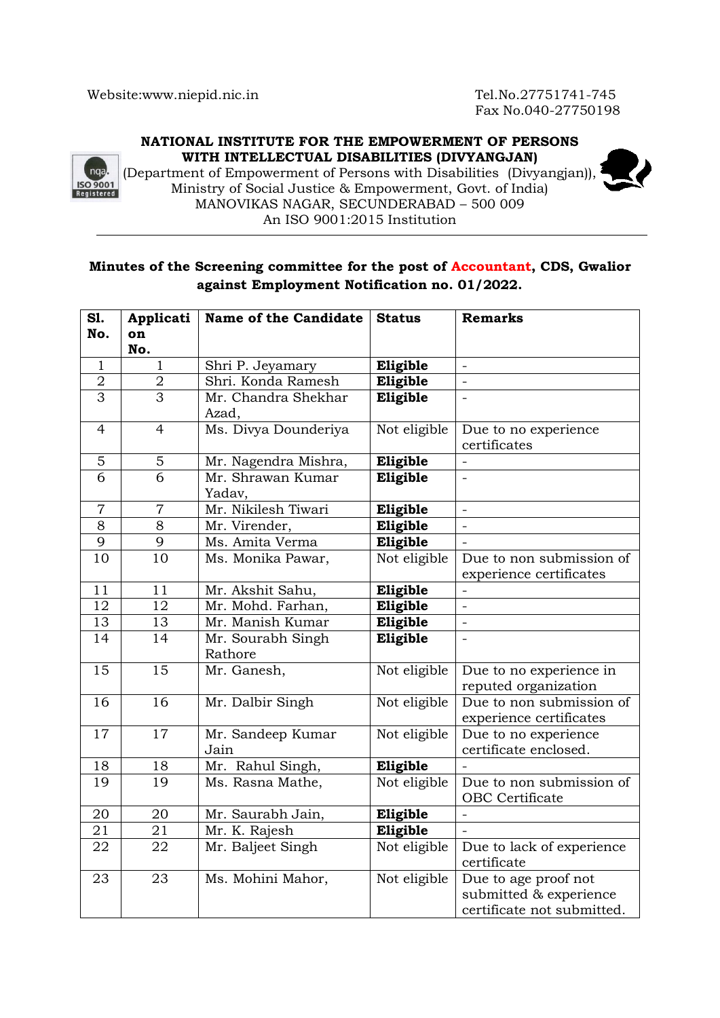Fax No.040-27750198

### **NATIONAL INSTITUTE FOR THE EMPOWERMENT OF PERSONS WITH INTELLECTUAL DISABILITIES (DIVYANGJAN)**



(Department of Empowerment of Persons with Disabilities (Divyangjan)), Ministry of Social Justice & Empowerment, Govt. of India) MANOVIKAS NAGAR, SECUNDERABAD – 500 009 An ISO 9001:2015 Institution

# **Minutes of the Screening committee for the post of Accountant, CDS, Gwalior against Employment Notification no. 01/2022.**

| S1.            | Applicati      | <b>Name of the Candidate</b> | <b>Status</b> | <b>Remarks</b>             |
|----------------|----------------|------------------------------|---------------|----------------------------|
| No.            | on             |                              |               |                            |
|                | No.            |                              |               |                            |
| 1              | $\mathbf{1}$   | Shri P. Jeyamary             | Eligible      | $\overline{\phantom{a}}$   |
| $\overline{2}$ | $\overline{2}$ | Shri. Konda Ramesh           | Eligible      |                            |
| 3              | $\overline{3}$ | Mr. Chandra Shekhar          | Eligible      |                            |
|                |                | Azad,                        |               |                            |
| $\overline{4}$ | $\overline{4}$ | Ms. Divya Dounderiya         | Not eligible  | Due to no experience       |
|                |                |                              |               | certificates               |
| 5              | 5              | Mr. Nagendra Mishra,         | Eligible      |                            |
| 6              | 6              | Mr. Shrawan Kumar            | Eligible      |                            |
|                |                | Yadav,                       |               |                            |
| $\overline{7}$ | $\overline{7}$ | Mr. Nikilesh Tiwari          | Eligible      | $\equiv$                   |
| 8              | 8              | Mr. Virender,                | Eligible      | $\equiv$                   |
| 9              | 9              | Ms. Amita Verma              | Eligible      |                            |
| 10             | 10             | Ms. Monika Pawar,            | Not eligible  | Due to non submission of   |
|                |                |                              |               | experience certificates    |
| 11             | 11             | Mr. Akshit Sahu,             | Eligible      | $\overline{a}$             |
| 12             | 12             | Mr. Mohd. Farhan,            | Eligible      | $\overline{\phantom{a}}$   |
| 13             | 13             | Mr. Manish Kumar             | Eligible      | $\overline{\phantom{a}}$   |
| 14             | 14             | Mr. Sourabh Singh            | Eligible      | $\equiv$                   |
|                |                | Rathore                      |               |                            |
| 15             | 15             | Mr. Ganesh,                  | Not eligible  | Due to no experience in    |
|                |                |                              |               | reputed organization       |
| 16             | 16             | Mr. Dalbir Singh             | Not eligible  | Due to non submission of   |
|                |                |                              |               | experience certificates    |
| 17             | 17             | Mr. Sandeep Kumar            | Not eligible  | Due to no experience       |
|                |                | Jain                         |               | certificate enclosed.      |
| 18             | 18             | Mr. Rahul Singh,             | Eligible      |                            |
| 19             | 19             | Ms. Rasna Mathe,             | Not eligible  | Due to non submission of   |
|                |                |                              |               | OBC Certificate            |
| 20             | 20             | Mr. Saurabh Jain,            | Eligible      |                            |
| 21             | 21             | Mr. K. Rajesh                | Eligible      |                            |
| 22             | 22             | Mr. Baljeet Singh            | Not eligible  | Due to lack of experience  |
|                |                |                              |               | certificate                |
| 23             | 23             | Ms. Mohini Mahor,            | Not eligible  | Due to age proof not       |
|                |                |                              |               | submitted & experience     |
|                |                |                              |               | certificate not submitted. |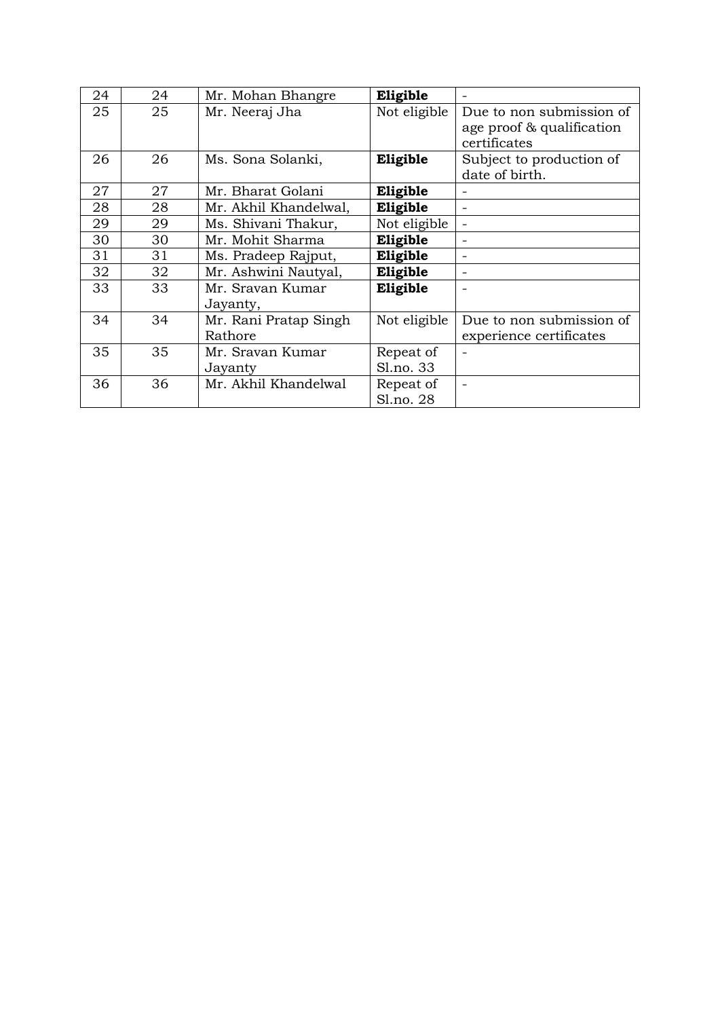| 24 | 24 | Mr. Mohan Bhangre                | Eligible               |                                                                       |
|----|----|----------------------------------|------------------------|-----------------------------------------------------------------------|
| 25 | 25 | Mr. Neeraj Jha                   | Not eligible           | Due to non submission of<br>age proof & qualification<br>certificates |
| 26 | 26 | Ms. Sona Solanki,                | Eligible               | Subject to production of<br>date of birth.                            |
| 27 | 27 | Mr. Bharat Golani                | Eligible               |                                                                       |
| 28 | 28 | Mr. Akhil Khandelwal,            | Eligible               | $\overline{\phantom{0}}$                                              |
| 29 | 29 | Ms. Shivani Thakur,              | Not eligible           |                                                                       |
| 30 | 30 | Mr. Mohit Sharma                 | Eligible               |                                                                       |
| 31 | 31 | Ms. Pradeep Rajput,              | Eligible               |                                                                       |
| 32 | 32 | Mr. Ashwini Nautyal,             | Eligible               | $\overline{a}$                                                        |
| 33 | 33 | Mr. Sravan Kumar<br>Jayanty,     | Eligible               |                                                                       |
| 34 | 34 | Mr. Rani Pratap Singh<br>Rathore | Not eligible           | Due to non submission of<br>experience certificates                   |
| 35 | 35 | Mr. Sravan Kumar<br>Jayanty      | Repeat of<br>Sl.no. 33 |                                                                       |
| 36 | 36 | Mr. Akhil Khandelwal             | Repeat of<br>Sl.no. 28 |                                                                       |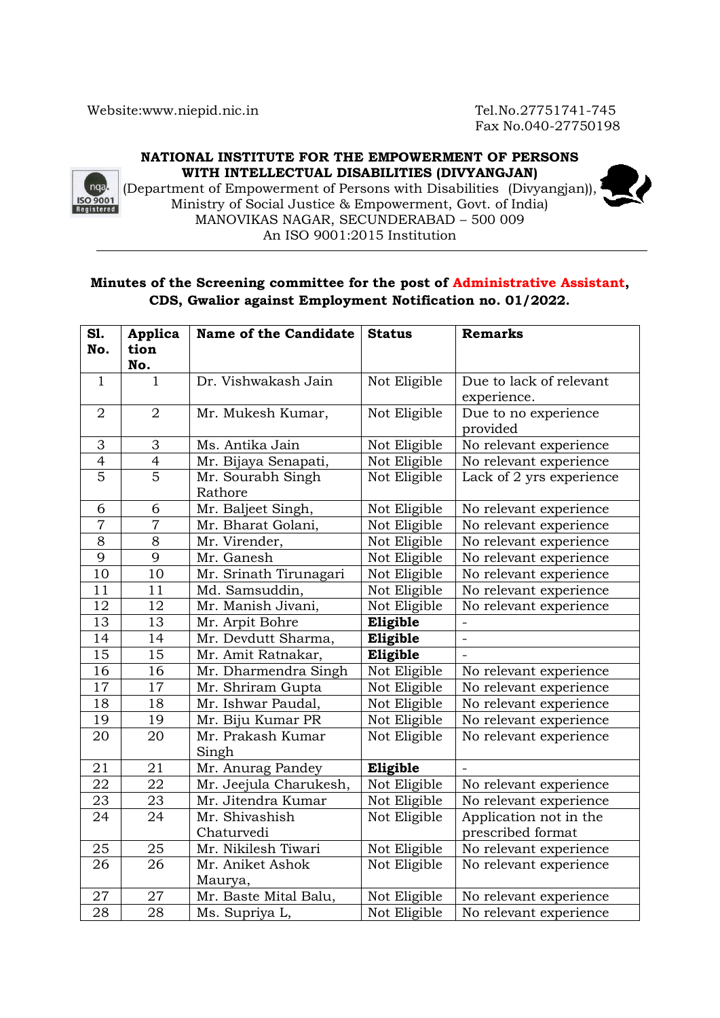Fax No.040-27750198

### **NATIONAL INSTITUTE FOR THE EMPOWERMENT OF PERSONS WITH INTELLECTUAL DISABILITIES (DIVYANGJAN)**



(Department of Empowerment of Persons with Disabilities (Divyangjan)), Ministry of Social Justice & Empowerment, Govt. of India) MANOVIKAS NAGAR, SECUNDERABAD – 500 009 An ISO 9001:2015 Institution

## **Minutes of the Screening committee for the post of Administrative Assistant, CDS, Gwalior against Employment Notification no. 01/2022.**

| S1.             | Applica         | <b>Name of the Candidate</b> | <b>Status</b> | <b>Remarks</b>           |
|-----------------|-----------------|------------------------------|---------------|--------------------------|
| No.             | tion            |                              |               |                          |
|                 | No.             |                              |               |                          |
| $\mathbf{1}$    | $\mathbf{1}$    | Dr. Vishwakash Jain          | Not Eligible  | Due to lack of relevant  |
|                 |                 |                              |               | experience.              |
| $\overline{2}$  | $\overline{2}$  | Mr. Mukesh Kumar,            | Not Eligible  | Due to no experience     |
|                 |                 |                              |               | provided                 |
| 3               | 3               | Ms. Antika Jain              | Not Eligible  | No relevant experience   |
| $\overline{4}$  | $\overline{4}$  | Mr. Bijaya Senapati,         | Not Eligible  | No relevant experience   |
| $\overline{5}$  | $\overline{5}$  | Mr. Sourabh Singh            | Not Eligible  | Lack of 2 yrs experience |
|                 |                 | Rathore                      |               |                          |
| 6               | 6               | Mr. Baljeet Singh,           | Not Eligible  | No relevant experience   |
| $\overline{7}$  | $\overline{7}$  | Mr. Bharat Golani,           | Not Eligible  | No relevant experience   |
| $\overline{8}$  | $\overline{8}$  | Mr. Virender,                | Not Eligible  | No relevant experience   |
| 9               | $\overline{9}$  | Mr. Ganesh                   | Not Eligible  | No relevant experience   |
| $\overline{10}$ | $10\,$          | Mr. Srinath Tirunagari       | Not Eligible  | No relevant experience   |
| 11              | 11              | Md. Samsuddin,               | Not Eligible  | No relevant experience   |
| 12              | 12              | Mr. Manish Jivani,           | Not Eligible  | No relevant experience   |
| 13              | 13              | Mr. Arpit Bohre              | Eligible      |                          |
| 14              | 14              | Mr. Devdutt Sharma,          | Eligible      |                          |
| $\overline{15}$ | $\overline{15}$ | Mr. Amit Ratnakar,           | Eligible      |                          |
| 16              | 16              | Mr. Dharmendra Singh         | Not Eligible  | No relevant experience   |
| 17              | 17              | Mr. Shriram Gupta            | Not Eligible  | No relevant experience   |
| 18              | 18              | Mr. Ishwar Paudal,           | Not Eligible  | No relevant experience   |
| 19              | 19              | Mr. Biju Kumar PR            | Not Eligible  | No relevant experience   |
| 20              | 20              | Mr. Prakash Kumar            | Not Eligible  | No relevant experience   |
|                 |                 | Singh                        |               |                          |
| 21              | 21              | Mr. Anurag Pandey            | Eligible      |                          |
| 22              | $\overline{22}$ | Mr. Jeejula Charukesh,       | Not Eligible  | No relevant experience   |
| 23              | 23              | Mr. Jitendra Kumar           | Not Eligible  | No relevant experience   |
| 24              | 24              | Mr. Shivashish               | Not Eligible  | Application not in the   |
|                 |                 | Chaturvedi                   |               | prescribed format        |
| 25              | 25              | Mr. Nikilesh Tiwari          | Not Eligible  | No relevant experience   |
| $\overline{26}$ | $\overline{26}$ | Mr. Aniket Ashok             | Not Eligible  | No relevant experience   |
|                 |                 | Maurya,                      |               |                          |
| 27              | 27              | Mr. Baste Mital Balu,        | Not Eligible  | No relevant experience   |
| $\overline{28}$ | 28              | Ms. Supriya L,               | Not Eligible  | No relevant experience   |

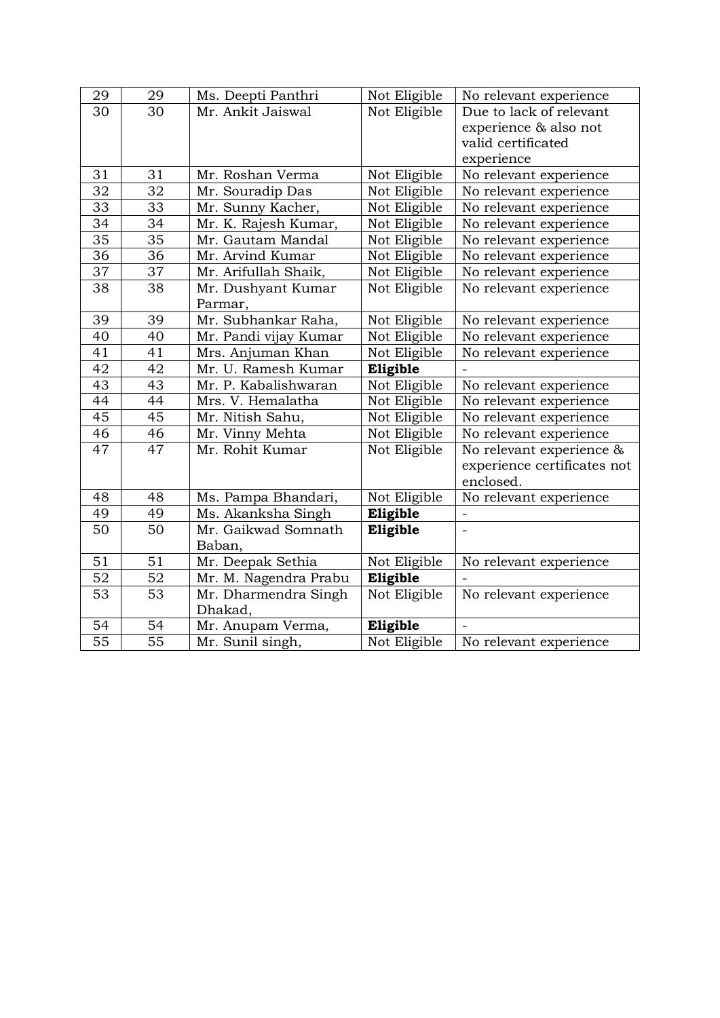| 29              | 29              | Ms. Deepti Panthri    | Not Eligible | No relevant experience      |
|-----------------|-----------------|-----------------------|--------------|-----------------------------|
| 30              | 30              | Mr. Ankit Jaiswal     | Not Eligible | Due to lack of relevant     |
|                 |                 |                       |              | experience & also not       |
|                 |                 |                       |              | valid certificated          |
|                 |                 |                       |              | experience                  |
| 31              | 31              | Mr. Roshan Verma      | Not Eligible | No relevant experience      |
| 32              | 32              | Mr. Souradip Das      | Not Eligible | No relevant experience      |
| 33              | 33              | Mr. Sunny Kacher,     | Not Eligible | No relevant experience      |
| $\overline{34}$ | $\overline{34}$ | Mr. K. Rajesh Kumar,  | Not Eligible | No relevant experience      |
| 35              | 35              | Mr. Gautam Mandal     | Not Eligible | No relevant experience      |
| $\overline{36}$ | 36              | Mr. Arvind Kumar      | Not Eligible | No relevant experience      |
| $\overline{37}$ | $\overline{3}7$ | Mr. Arifullah Shaik,  | Not Eligible | No relevant experience      |
| 38              | 38              | Mr. Dushyant Kumar    | Not Eligible | No relevant experience      |
|                 |                 | Parmar,               |              |                             |
| 39              | 39              | Mr. Subhankar Raha,   | Not Eligible | No relevant experience      |
| 40              | 40              | Mr. Pandi vijay Kumar | Not Eligible | No relevant experience      |
| 41              | 41              | Mrs. Anjuman Khan     | Not Eligible | No relevant experience      |
| 42              | 42              | Mr. U. Ramesh Kumar   | Eligible     |                             |
| 43              | 43              | Mr. P. Kabalishwaran  | Not Eligible | No relevant experience      |
| 44              | 44              | Mrs. V. Hemalatha     | Not Eligible | No relevant experience      |
| 45              | 45              | Mr. Nitish Sahu,      | Not Eligible | No relevant experience      |
| 46              | 46              | Mr. Vinny Mehta       | Not Eligible | No relevant experience      |
| 47              | 47              | Mr. Rohit Kumar       | Not Eligible | No relevant experience &    |
|                 |                 |                       |              | experience certificates not |
|                 |                 |                       |              | enclosed.                   |
| 48              | 48              | Ms. Pampa Bhandari,   | Not Eligible | No relevant experience      |
| 49              | 49              | Ms. Akanksha Singh    | Eligible     |                             |
| 50              | 50              | Mr. Gaikwad Somnath   | Eligible     |                             |
|                 |                 | Baban,                |              |                             |
| 51              | 51              | Mr. Deepak Sethia     | Not Eligible | No relevant experience      |
| 52              | 52              | Mr. M. Nagendra Prabu | Eligible     |                             |
| $\overline{53}$ | 53              | Mr. Dharmendra Singh  | Not Eligible | No relevant experience      |
|                 |                 | Dhakad,               |              |                             |
| 54              | 54              | Mr. Anupam Verma,     | Eligible     |                             |
| $\overline{55}$ | $\overline{55}$ | Mr. Sunil singh,      | Not Eligible | No relevant experience      |